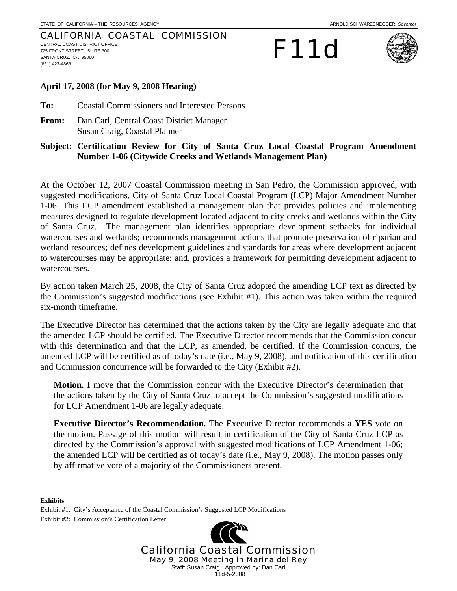#### CALIFORNIA COASTAL COMMISSION CENTRAL COAST DISTRICT OFFICE 725 FRONT STREET, SUITE 300 SANTA CRUZ, CA 95060 (831) 427-4863

# F11d



## **April 17, 2008 (for May 9, 2008 Hearing)**

**To:** Coastal Commissioners and Interested Persons

**From:** Dan Carl, Central Coast District Manager Susan Craig, Coastal Planner

## **Subject: Certification Review for City of Santa Cruz Local Coastal Program Amendment Number 1-06 (Citywide Creeks and Wetlands Management Plan)**

At the October 12, 2007 Coastal Commission meeting in San Pedro, the Commission approved, with suggested modifications, City of Santa Cruz Local Coastal Program (LCP) Major Amendment Number 1-06. This LCP amendment established a management plan that provides policies and implementing measures designed to regulate development located adjacent to city creeks and wetlands within the City of Santa Cruz. The management plan identifies appropriate development setbacks for individual watercourses and wetlands; recommends management actions that promote preservation of riparian and wetland resources; defines development guidelines and standards for areas where development adjacent to watercourses may be appropriate; and, provides a framework for permitting development adjacent to watercourses.

By action taken March 25, 2008, the City of Santa Cruz adopted the amending LCP text as directed by the Commission's suggested modifications (see Exhibit #1). This action was taken within the required six-month timeframe.

The Executive Director has determined that the actions taken by the City are legally adequate and that the amended LCP should be certified. The Executive Director recommends that the Commission concur with this determination and that the LCP, as amended, be certified. If the Commission concurs, the amended LCP will be certified as of today's date (i.e., May 9, 2008), and notification of this certification and Commission concurrence will be forwarded to the City (Exhibit #2).

**Motion.** I move that the Commission concur with the Executive Director's determination that the actions taken by the City of Santa Cruz to accept the Commission's suggested modifications for LCP Amendment 1-06 are legally adequate.

**Executive Director's Recommendation.** The Executive Director recommends a **YES** vote on the motion. Passage of this motion will result in certification of the City of Santa Cruz LCP as directed by the Commission's approval with suggested modifications of LCP Amendment 1-06; the amended LCP will be certified as of today's date (i.e., May 9, 2008). The motion passes only by affirmative vote of a majority of the Commissioners present.

**Exhibits**  Exhibit #1: City's Acceptance of the Coastal Commission's Suggested LCP Modifications Exhibit #2: Commission's Certification Letter

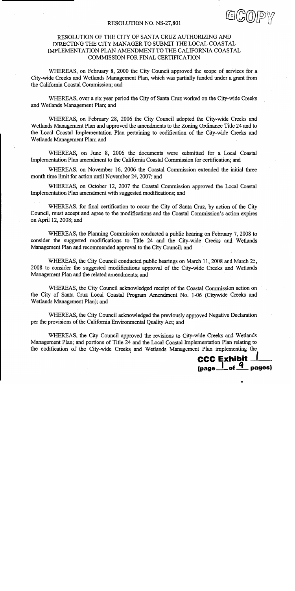#### RESOLUTION NO. NS-27,801

## RESOLUTION OF THE CITY OF SANTA CRUZ AUTHORIZING AND DIRECTING THE CITY MANAGER TO SUBMIT THE LOCAL COASTAL IMPLEMENTATION PLAN AMENDMENT TO THE CALIFORNIA COASTAL COMMISSION FOR FINAL CERTIFICATION

WHEREAS, on February 8, 2000 the City Council approved the scope of services for a City-wide Creeks and Wetlands Management Plan, which was partially funded under a grant from the California Coastal Commission; and

WHEREAS, over a six year period the City of Santa Cruz worked on the City-wide Creeks and Wetlands Management Plan; and

WHEREAS, on February 28, 2006 the City Council adopted the City-wide Creeks and Wetlands Management Plan and approved the amendments to the Zoning Ordinance Title 24 and to the Local Coastal Implementation Plan pertaining to codification of the City-wide Creeks and Wetlands Management Plan; and

WHEREAS, on June 8, 2006 the documents were submitted for a Local Coastal Implementation Plan amendment to the California Coastal Commission for certification; and

WHEREAS, on November 16, 2006 the Coastal Commission extended the initial three month time limit for action until November 24, 2007; and

WHEREAS, on October 12, 2007 the Coastal Commission approved the Local Coastal Implementation Plan amendment with suggested modifications; and

WHEREAS, for final certification to occur the City of Santa Cruz, by action of the City Council, must accept and agree to the modifications and the Coastal Commission's action expires on April 12, 2008; and

WHEREAS, the Planning Commission conducted a public hearing on February 7, 2008 to consider the suggested modifications to Title 24 and the City-wide Creeks and Wetlands Management Plan and recommended approval to the City Council; and

WHEREAS, the City Council conducted public hearings on March 11, 2008 and March 25, 2008 to consider the suggested modifications approval of the City-wide Creeks and Wetlands Management Plan and the related amendments; and

WHEREAS, the City Council acknowledged receipt of the Coastal Commission action on the City of Santa Cruz Local Coastal Program Amendment No. 1-06 (Citywide Creeks and Wetlands Management Plan); and

WHEREAS, the City Council acknowledged the previously approved Negative Declaration per the provisions of the California Environmental Ouality Act: and

WHEREAS, the City Council approved the revisions to City-wide Creeks and Wetlands Management Plan; and portions of Title 24 and the Local Coastal Implementation Plan relating to the codification of the City-wide Creeks and Wetlands Management Plan implementing the

**CCC Exhibit \_**  $\frac{1}{2}$  of  $\frac{4}{2}$  pages)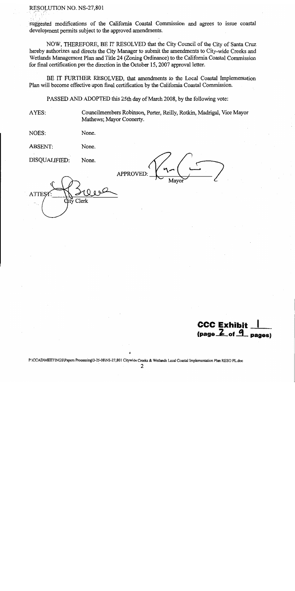## RESOLUTION NO. NS-27,801

suggested modifications of the California Coastal Commission and agrees to issue coastal development permits subject to the approved amendments.

NOW, THEREFORE, BE IT RESOLVED that the City Council of the City of Santa Cruz hereby authorizes and directs the City Manager to submit the amendments to City-wide Creeks and Wetlands Management Plan and Title 24 (Zoning Ordinance) to the California Coastal Commission for final certification per the direction in the October 15, 2007 approval letter.

BE IT FURTHER RESOLVED, that amendments to the Local Coastal Implementation Plan will become effective upon final certification by the California Coastal Commission.

PASSED AND ADOPTED this 25th day of March 2008, by the following vote:

AYES:

Councilmembers Robinson, Porter, Reilly, Rotkin, Madrigal, Vice Mayor Mathews; Mayor Coonerty.

NOES: None.

**ABSENT:** None.

DISOUALIFIED: None.

**APPROVED** 

**ATTE** Clerk

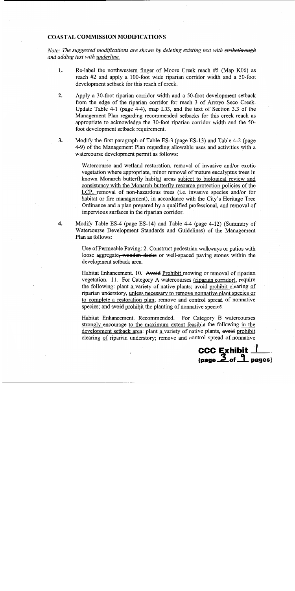### **COASTAL COMMISSION MODIFICATIONS**

Note: The suggested modifications are shown by deleting existing text with strikethrough and adding text with underline.

- $1<sub>1</sub>$ Re-label the northwestern finger of Moore Creek reach #5 (Map K06) as reach #2 and apply a 100-foot wide riparian corridor width and a 50-foot development setback for this reach of creek.
- $2.$ Apply a 30-foot riparian corridor width and a 50-foot development setback from the edge of the riparian corridor for reach 3 of Arroyo Seco Creek. Update Table 4-1 (page 4-4), map L03, and the text of Section 3.3 of the Management Plan regarding recommended setbacks for this creek reach as appropriate to acknowledge the 30-foot riparian corridor width and the 50foot development setback requirement.
- $3.$ Modify the first paragraph of Table ES-3 (page ES-13) and Table 4-2 (page 4-9) of the Management Plan regarding allowable uses and activities with a watercourse development permit as follows:

Watercourse and wetland restoration, removal of invasive and/or exotic vegetation where appropriate, minor removal of mature eucalyptus trees in known Monarch butterfly habitat areas subject to biological review and consistency with the Monarch butterfly resource protection policies of the LCP, removal of non-hazardous trees (i.e. invasive species and/or for habitat or fire management), in accordance with the City's Heritage Tree Ordinance and a plan prepared by a qualified professional, and removal of impervious surfaces in the riparian corridor.

 $\boldsymbol{4}$ . Modify Table ES-4 (page ES-14) and Table 4-4 (page 4-12) (Summary of Watercourse Development Standards and Guidelines) of the Management Plan as follows:

> Use of Permeable Paving: 2. Construct pedestrian walkways or patios with loose aggregate, wooden deeks or well-spaced paving stones within the development setback area.

> Habitat Enhancement. 10. Avoid Prohibit mowing or removal of riparian vegetation. 11. For Category A watercourses (riparian corridor), require the following: plant a variety of native plants; avoid prohibit clearing of riparian understory, unless necessary to remove nonnative plant species or to complete a restoration plan; remove and control spread of nonnative species; and avoid prohibit the planting of nonnative species.

> Habitat Enhancement. Recommended. For Category B watercourses strongly encourage to the maximum extent feasible the following in the development setback area: plant a variety of native plants, avoid prohibit clearing of riparian understory; remove and control spread of nonnative

CCC Exhibit  $\frac{1}{\text{(page 2 of } \frac{1}{1} \text{ pages)}}$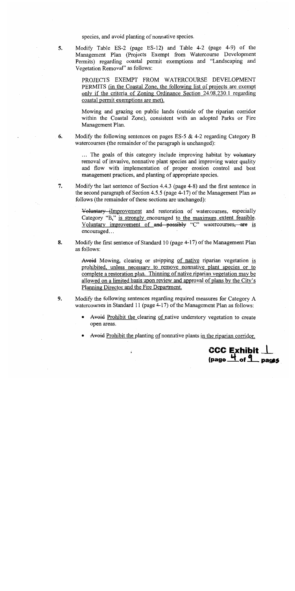species, and avoid planting of nonnative species.

Modify Table ES-2 (page ES-12) and Table 4-2 (page 4-9) of the 5. Management Plan (Projects Exempt from Watercourse Development Permits) regarding coastal permit exemptions and "Landscaping and Vegetation Removal" as follows:

> PROJECTS EXEMPT FROM WATERCOURSE DEVELOPMENT PERMITS (in the Coastal Zone, the following list of projects are exempt only if the criteria of Zoning Ordinance Section 24.08.230.1 regarding coastal permit exemptions are met).

> Mowing and grazing on public lands (outside of the riparian corridor within the Coastal Zone), consistent with an adopted Parks or Fire Management Plan.

6. Modify the following sentences on pages ES-5  $&$  4-2 regarding Category B watercourses (the remainder of the paragraph is unchanged):

> ... The goals of this category include improving habitat by voluntary removal of invasive, nonnative plant species and improving water quality and flow with implementation of proper erosion control and best management practices, and planting of appropriate species.

7. Modify the last sentence of Section 4.4.3 (page 4-8) and the first sentence in the second paragraph of Section 4.5.5 (page 4-17) of the Management Plan as follows (the remainder of these sections are unchanged):

> Voluntary improvement and restoration of watercourses, especially Category "B," is strongly encouraged to the maximum extent feasible. Voluntary improvement of and possibly "C" watercourses, are is encouraged...

8. Modify the first sentence of Standard 10 (page 4-17) of the Management Plan as follows:

> Avoid Mowing, clearing or stripping of native riparian vegetation is prohibited, unless necessary to remove nonnative plant species or to complete a restoration plan. Thinning of native riparian vegetation may be allowed on a limited basis upon review and approval of plans by the City's Planning Director and the Fire Department.

- 9. Modify the following sentences regarding required measures for Category A watercourses in Standard 11 (page 4-17) of the Management Plan as follows:
	- Avoid Prohibit the clearing of native understory vegetation to create open areas.
	- Avoid Prohibit the planting of nonnative plants in the riparian corridor.

**CCC Exhibit.** 

 $(page \nightharpoonup of 9) page 5$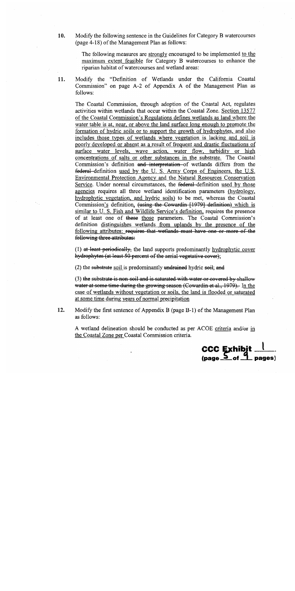10. Modify the following sentence in the Guidelines for Category B watercourses (page 4-18) of the Management Plan as follows:

> The following measures are strongly encouraged to be implemented to the maximum extent feasible for Category B watercourses to enhance the riparian habitat of watercourses and wetland areas:

11. Modify the "Definition of Wetlands under the California Coastal Commission" on page A-2 of Appendix A of the Management Plan as follows:

The Coastal Commission, through adoption of the Coastal Act, regulates activities within wetlands that occur within the Coastal Zone. Section 13577 of the Coastal Commission's Regulations defines wetlands as land where the water table is at, near, or above the land surface long enough to promote the formation of hydric soils or to support the growth of hydrophytes, and also includes those types of wetlands where vegetation is lacking and soil is poorly developed or absent as a result of frequent and drastic fluctuations of surface water levels, wave action, water flow, turbidity or high concentrations of salts or other substances in the substrate. The Coastal Commission's definition and interpretation of wetlands differs from the federal definition used by the U.S. Army Corps of Engineers, the U.S. Environmental Protection Agency and the Natural Resources Conservation Service. Under normal circumstances, the federal-definition used by those agencies requires all three wetland identification parameters (hydrology, hydrophytic vegetation, and hydric soils) to be met, whereas the Coastal Commission's definition, (using the Cowardin [1979] definition) which is similar to U.S. Fish and Wildlife Service's definition, requires the presence of at least one of these those parameters. The Coastal Commission's definition distinguishes wetlands from uplands by the presence of the following attributes: requires that wetlands must have one or more of the following three attributes:

(1) at least periodically, the land supports predominantly hydrophytic cover hydrophytes (at least 50 percent of the aerial vegetative cover);

 $(2)$  the substrate soil is predominantly undrained hydric soil; and

(3) the substrate is non-soil and is saturated with water or covered by shallow water at some time during the growing season (Cowardin et al., 1979). In the case of wetlands without vegetation or soils, the land is flooded or saturated at some time during years of normal precipitation

12.

Modify the first sentence of Appendix B (page B-1) of the Management Plan as follows:

A wetland delineation should be conducted as per ACOE criteria and/or in the Coastal Zone per Coastal Commission criteria.

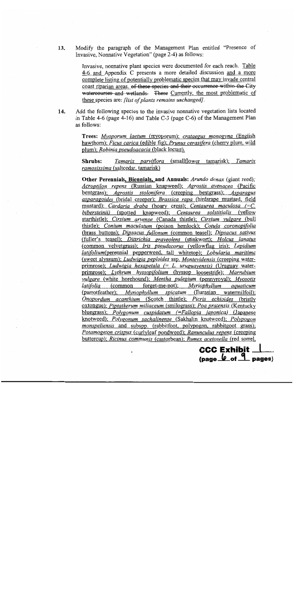Modify the paragraph of the Management Plan entitled "Presence of 13. Invasive, Nonnative Vegetation" (page 2-4) as follows:

> Invasive, nonnative plant species were documented for each reach. Table 4-6 and Appendix C presents a more detailed discussion and a more complete listing of potentially problematic species that may invade central coast riparian areas. of these species and their occurrence within the City watercourses and wetlands. These Currently, the most problematic of these species are: *flist of plants remains unchanged*.

14. Add the following species to the invasive nonnative vegetation lists located in Table 4-6 (page 4-16) and Table C-3 (page  $C$ -6) of the Management Plan as follows:

> Trees: Myoporum laetum (myoporum); crataegus monogyna (English hawthorn); *Ficus carica* (edible fig); *Prunus cerasifera* (cherry plum, wild plum); Robinia pseudoacacia (black locust).

> Shrubs: Tamarix parviflora (smallflower tamarisk); Tamarix ramosissima (saltcedar, tamarisk)

> Other Perennials, Biennials, and Annuals: Arundo donax (giant reed); Acroptilon repens (Russian knapweed); Agrostis avenacea (Pacific bentgrass); Agrostis stolonifera (creeping bentgrass); Asparagus asparagoides (bridal creeper); Brassica rapa (birdsrape mustard, field mustard); Cardaria draba (hoary cress); Centaurea maculosa  $/=C$ . bibersteinii) (spotted knapweed); Centaurea solstitialis (yellow starthistle); Cirsium arvense (Canada thistle); Cirsium vulgare (bull thistle); Conium maculatum (poison hemlock); Cotula coronopifolia (brass buttons); Dipsacus fullonum (common teasel); Dipsacus sativus (fuller's teasel); Dittrichia graveolens (stinkwort); Holcus lanatus (common velvetgrass); Iris pseudacorus (yellowflag iris); Lepidium *latifolium*(perennial pepperweed, tall whitetop); *Lobularia maritima* (sweet alyssum); Ludwigia peploides ssp. Montevidensis (creeping waterprimrose); Ludwigia hexapetala  $(= L. \; uruguayensis)$  (Uruguay waterprimrose); Lythrum hyssopifolium (hyssop loosestrife); Marrubium *vulgare* (white horehound); Mentha pulegium (pennyroyal); Myosotis *latifolia* (common forget-me-not); *Myriophyllum* aquaticum (parrotfeather); Myriophyllum spicatum (Eurasian watermilfoil); Onopordum acanthium (Scotch thistle); Picris echioides (bristly oxtongue); Piptatherum miliaceum (smilograss); Poa pratensis (Kentucky bluegrass); Polygonum cuspidatum (=Fallopia japonica) (Japanese knotweed); Polygonum sachalinense (Sakhalin knotweed); Polypogon monspeliensis and subspp. (rabbitfoot, polypogon, rabbitgoot grass); Potamogeton crispus (curlyleaf pondweed); Ranunculus repens (creeping buttercup); Ricinus communis (castorbean); Rumex acetosella (red sorrel,

> > **CCC Exhibit**

 $\frac{\log \phi}{\log \phi}$  of  $\frac{q}{q}$  pages)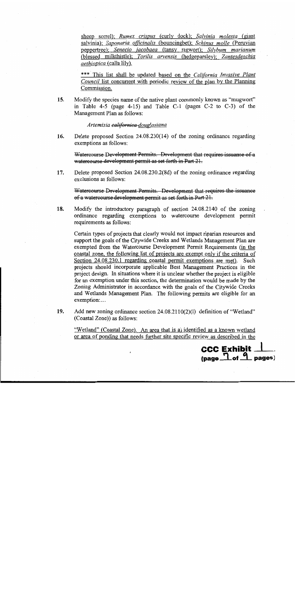sheep sorrel); Rumex crispus (curly dock); Salvinia molesta (giant salvinia); Saponaria officinalis (bouncingbet); Schinus molle (Peruvian peppertree); Senecio jacobaea (tansy ragwort); Silybum marianum (blessed milkthistle); Torilis arvensis (hedgeparsley); Zantesdeschia *aethiopica* (calla lily).

\*\*\* This list shall be updated based on the California Invasive Plant *Council* list concurrent with periodic review of the plan by the Planning Commission.

Modify the species name of the native plant commonly known as "mugwort" 15. in Table 4-5 (page 4-15) and Table  $C-1$  (pages  $C-2$  to  $C-3$ ) of the Management Plan as follows:

#### Artemisia californica douglasiana

Delete proposed Section 24.08.230(14) of the zoning ordinance regarding 16. exemptions as follows:

Watercourse Development Permits. Development that requires issuance of a watercourse development permit as set forth in Part 21.

17. Delete proposed Section 24.08.230.2(8d) of the zoning ordinance regarding exclusions as follows:

Watercourse Development Permits. Development that requires the issuance of a watercourse development permit as set forth in Part 21.

Modify the introductory paragraph of section 24.08.2140 of the zoning 18. ordinance regarding exemptions to watercourse development permit requirements as follows:

Certain types of projects that clearly would not impact riparian resources and support the goals of the Citywide Creeks and Wetlands Management Plan are exempted from the Watercourse Development Permit Requirements (in the coastal zone, the following list of projects are exempt only if the criteria of Section 24.08.230.1 regarding coastal permit exemptions are met). Such projects should incorporate applicable Best Management Practices in the project design. In situations where it is unclear whether the project is eligible for an exemption under this section, the determination would be made by the Zoning Administrator in accordance with the goals of the Citywide Creeks and Wetlands Management Plan. The following permits are eligible for an exemption:...

Add new zoning ordinance section 24.08.2110(2)(1) definition of "Wetland" 19. (Coastal Zone)) as follows:

"Wetland" (Coastal Zone). An area that is a) identified as a known wetland or area of ponding that needs further site specific review as described in the

**CCC Exhibit \_** 

 $\frac{1}{2}$  of  $\frac{9}{2}$  pages)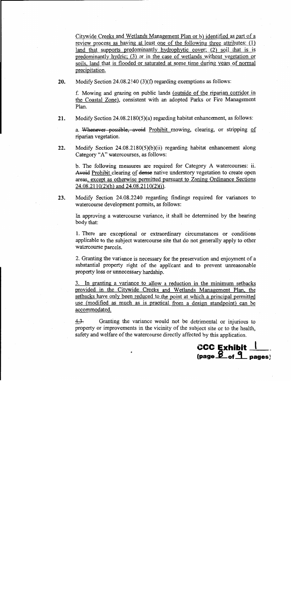Citywide Creeks and Wetlands Management Plan or b) identified as part of a review process as having at least one of the following three attributes:  $(1)$ land that supports predominantly hydrophytic cover; (2) soil that is is predominantly hydric; (3) or in the case of wetlands without vegetation or soils, land that is flooded or saturated at some time during years of normal precipitation.

20. Modify Section 24.08.2140  $(3)(f)$  regarding exemptions as follows:

f. Mowing and grazing on public lands (outside of the riparian corridor in the Coastal Zone), consistent with an adopted Parks or Fire Management Plan.

21. Modify Section 24.08.2180(5)(a) regarding habitat enhancement, as follows:

a. Whenever possible, avoid Prohibit mowing, clearing, or stripping of riparian vegetation.

 $22.$ Modify Section  $24.08.2180(5)(b)(ii)$  regarding habitat enhancement along Category "A" watercourses, as follows:

b. The following measures are required for Category A watercourses: ii. Avoid Prohibit clearing of dense native understory vegetation to create open areas, except as otherwise permitted pursuant to Zoning Ordinance Sections  $24.08.2110(2)$ (h) and  $24.08.2110(2)$ (i).

23. Modify Section 24.08.2240 regarding findings required for variances to watercourse development permits, as follows:

In approving a watercourse variance, it shall be determined by the hearing body that:

1. There are exceptional or extraordinary circumstances or conditions applicable to the subject watercourse site that do not generally apply to other watercourse parcels.

2. Granting the variance is necessary for the preservation and enjoyment of a substantial property right of the applicant and to prevent unreasonable property loss or unnecessary hardship.

3. In granting a variance to allow a reduction in the minimum setbacks provided in the Citywide Creeks and Wetlands Management Plan, the setbacks have only been reduced to the point at which a principal permitted use (modified as much as is practical from a design standpoint) can be accommodated.

 $4.3.$ Granting the variance would not be detrimental or injurious to property or improvements in the vicinity of the subject site or to the health. safety and welfare of the watercourse directly affected by this application.

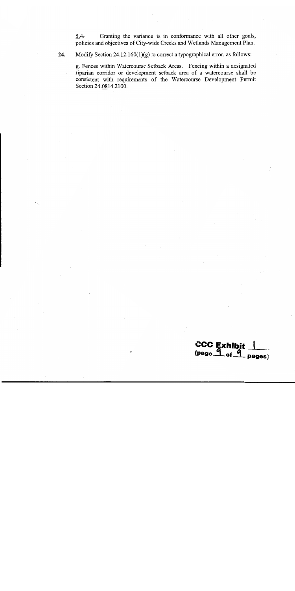$5.4.$ Granting the variance is in conformance with all other goals, policies and objectives of City-wide Creeks and Wetlands Management Plan.

24.

Modify Section  $24.12.160(1)(g)$  to correct a typographical error, as follows:

g. Fences within Watercourse Setback Areas. Fencing within a designated riparian corridor or development setback area of a watercourse shall be consistent with requirements of the Watercourse Development Permit Section 24.0814.2100.

CCC Exhibit 1